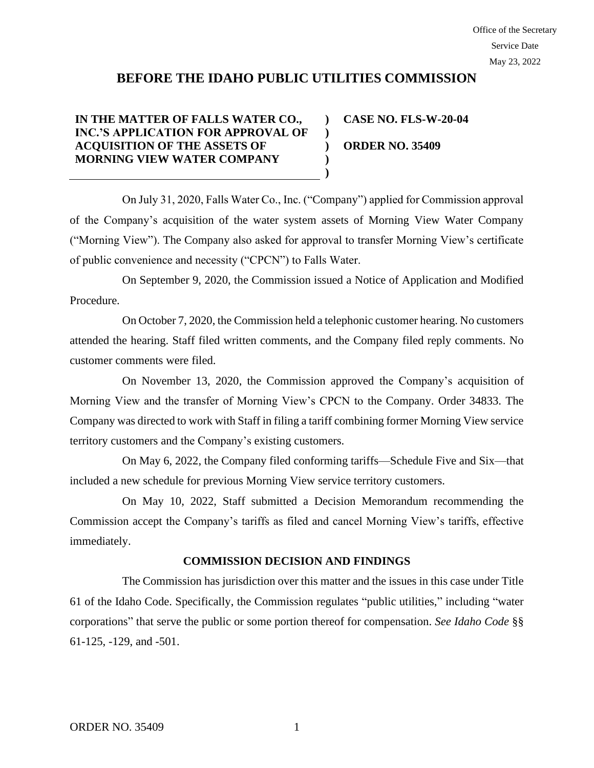## **BEFORE THE IDAHO PUBLIC UTILITIES COMMISSION**

**) )**

**) )**

## **IN THE MATTER OF FALLS WATER CO., INC.'S APPLICATION FOR APPROVAL OF ACQUISITION OF THE ASSETS OF MORNING VIEW WATER COMPANY**

**) CASE NO. FLS-W-20-04 ORDER NO. 35409**

On July 31, 2020, Falls Water Co., Inc. ("Company") applied for Commission approval of the Company's acquisition of the water system assets of Morning View Water Company ("Morning View"). The Company also asked for approval to transfer Morning View's certificate of public convenience and necessity ("CPCN") to Falls Water.

On September 9, 2020, the Commission issued a Notice of Application and Modified Procedure.

On October 7, 2020, the Commission held a telephonic customer hearing. No customers attended the hearing. Staff filed written comments, and the Company filed reply comments. No customer comments were filed.

On November 13, 2020, the Commission approved the Company's acquisition of Morning View and the transfer of Morning View's CPCN to the Company. Order 34833. The Company was directed to work with Staff in filing a tariff combining former Morning View service territory customers and the Company's existing customers.

On May 6, 2022, the Company filed conforming tariffs—Schedule Five and Six—that included a new schedule for previous Morning View service territory customers.

On May 10, 2022, Staff submitted a Decision Memorandum recommending the Commission accept the Company's tariffs as filed and cancel Morning View's tariffs, effective immediately.

## **COMMISSION DECISION AND FINDINGS**

The Commission has jurisdiction over this matter and the issues in this case under Title 61 of the Idaho Code. Specifically, the Commission regulates "public utilities," including "water corporations" that serve the public or some portion thereof for compensation. *See Idaho Code* §§ 61-125, -129, and -501.